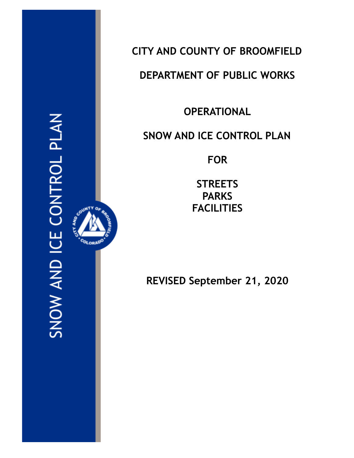SNOW AND ICE CONTROL PLAN

OLORAD<sup>O</sup>



# **DEPARTMENT OF PUBLIC WORKS**

**OPERATIONAL**

## **SNOW AND ICE CONTROL PLAN**

**FOR**

**STREETS PARKS FACILITIES**

**REVISED September 21, 2020**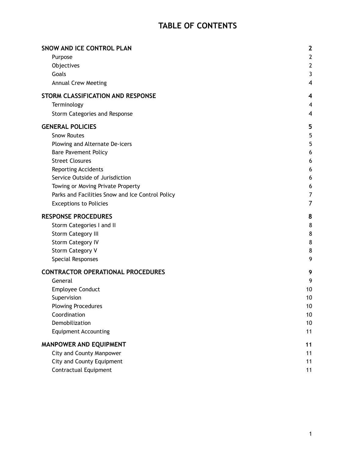## **TABLE OF CONTENTS**

| SNOW AND ICE CONTROL PLAN                        | $\mathbf{2}$   |
|--------------------------------------------------|----------------|
| Purpose                                          | $\mathbf{2}$   |
| Objectives                                       | $\mathbf{2}$   |
| Goals                                            | 3              |
| <b>Annual Crew Meeting</b>                       | 4              |
| STORM CLASSIFICATION AND RESPONSE                | 4              |
| Terminology                                      | 4              |
| Storm Categories and Response                    | 4              |
| <b>GENERAL POLICIES</b>                          | 5              |
| <b>Snow Routes</b>                               | 5              |
| Plowing and Alternate De-icers                   | 5              |
| <b>Bare Pavement Policy</b>                      | 6              |
| <b>Street Closures</b>                           | 6              |
| <b>Reporting Accidents</b>                       | 6              |
| Service Outside of Jurisdiction                  | 6              |
| Towing or Moving Private Property                | 6              |
| Parks and Facilities Snow and Ice Control Policy | $\overline{7}$ |
| <b>Exceptions to Policies</b>                    | 7              |
| <b>RESPONSE PROCEDURES</b>                       | 8              |
| Storm Categories I and II                        | 8              |
| <b>Storm Category III</b>                        | 8              |
| <b>Storm Category IV</b>                         | 8              |
|                                                  |                |
| <b>Storm Category V</b>                          | 8              |
| Special Responses                                | 9              |
| <b>CONTRACTOR OPERATIONAL PROCEDURES</b>         | 9              |
| General                                          | 9              |
| <b>Employee Conduct</b>                          | 10             |
| Supervision                                      | 10             |
| <b>Plowing Procedures</b>                        | 10             |
| Coordination                                     | 10             |
| Demobilization                                   | 10             |
| <b>Equipment Accounting</b>                      | 11             |
| MANPOWER AND EQUIPMENT                           | 11             |
| <b>City and County Manpower</b>                  | 11             |
| <b>City and County Equipment</b>                 | 11             |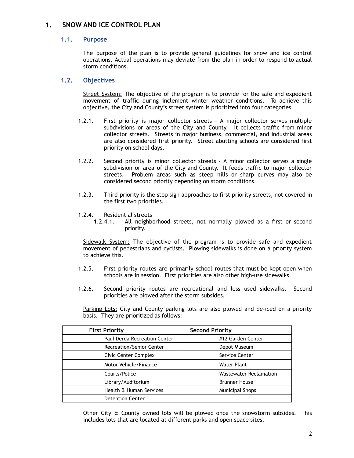## <span id="page-2-0"></span>**1. SNOW AND ICE CONTROL PLAN**

#### **1.1. Purpose**

The purpose of the plan is to provide general guidelines for snow and ice control operations. Actual operations may deviate from the plan in order to respond to actual storm conditions.

#### <span id="page-2-1"></span>**1.2. Objectives**

Street System: The objective of the program is to provide for the safe and expedient movement of traffic during inclement winter weather conditions. To achieve this objective, the City and County's street system is prioritized into four categories.

- 1.2.1. First priority is major collector streets A major collector serves multiple subdivisions or areas of the City and County. It collects traffic from minor collector streets. Streets in major business, commercial, and industrial areas are also considered first priority. Street abutting schools are considered first priority on school days.
- 1.2.2. Second priority is minor collector streets A minor collector serves a single subdivision or area of the City and County. It feeds traffic to major collector streets. Problem areas such as steep hills or sharp curves may also be considered second priority depending on storm conditions.
- 1.2.3. Third priority is the stop sign approaches to first priority streets, not covered in the first two priorities.
- 1.2.4. Residential streets
	- 1.2.4.1. All neighborhood streets, not normally plowed as a first or second priority.

Sidewalk System: The objective of the program is to provide safe and expedient movement of pedestrians and cyclists. Plowing sidewalks is done on a priority system to achieve this.

- 1.2.5. First priority routes are primarily school routes that must be kept open when schools are in session. First priorities are also other high-use sidewalks.
- 1.2.6. Second priority routes are recreational and less used sidewalks. Second priorities are plowed after the storm subsides.

Parking Lots: City and County parking lots are also plowed and de-iced on a priority basis. They are prioritized as follows:

| <b>First Priority</b>           | <b>Second Priority</b>        |
|---------------------------------|-------------------------------|
| Paul Derda Recreation Center    | #12 Garden Center             |
| <b>Recreation/Senior Center</b> | Depot Museum                  |
| Civic Center Complex            | Service Center                |
| Motor Vehicle/Finance           | Water Plant                   |
| Courts/Police                   | <b>Wastewater Reclamation</b> |
| Library/Auditorium              | <b>Brunner House</b>          |
| Health & Human Services         | <b>Municipal Shops</b>        |
| <b>Detention Center</b>         |                               |

Other City  $\hat{\theta}$  County owned lots will be plowed once the snowstorm subsides. This includes lots that are located at different parks and open space sites.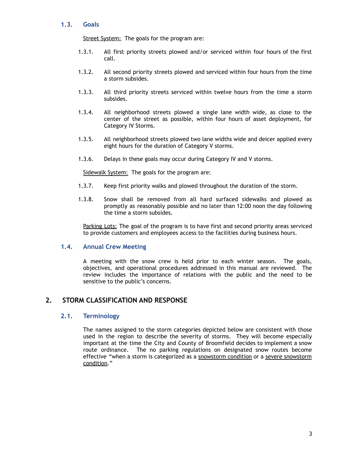#### <span id="page-3-0"></span>**1.3. Goals**

Street System: The goals for the program are:

- 1.3.1. All first priority streets plowed and/or serviced within four hours of the first call.
- 1.3.2. All second priority streets plowed and serviced within four hours from the time a storm subsides.
- 1.3.3. All third priority streets serviced within twelve hours from the time a storm subsides.
- 1.3.4. All neighborhood streets plowed a single lane width wide, as close to the center of the street as possible, within four hours of asset deployment, for Category IV Storms.
- 1.3.5. All neighborhood streets plowed two lane widths wide and deicer applied every eight hours for the duration of Category V storms.
- 1.3.6. Delays in these goals may occur during Category IV and V storms.

Sidewalk System: The goals for the program are:

- 1.3.7. Keep first priority walks and plowed throughout the duration of the storm.
- 1.3.8. Snow shall be removed from all hard surfaced sidewalks and plowed as promptly as reasonably possible and no later than 12:00 noon the day following the time a storm subsides.

Parking Lots: The goal of the program is to have first and second priority areas serviced to provide customers and employees access to the facilities during business hours.

#### <span id="page-3-1"></span>**1.4. Annual Crew Meeting**

A meeting with the snow crew is held prior to each winter season. The goals, objectives, and operational procedures addressed in this manual are reviewed. The review includes the importance of relations with the public and the need to be sensitive to the public's concerns.

#### <span id="page-3-3"></span><span id="page-3-2"></span>**2. STORM CLASSIFICATION AND RESPONSE**

#### **2.1. Terminology**

The names assigned to the storm categories depicted below are consistent with those used in the region to describe the severity of storms. They will become especially important at the time the City and County of Broomfield decides to implement a snow route ordinance. The no parking regulations on designated snow routes become effective "when a storm is categorized as a snowstorm condition or a severe snowstorm condition."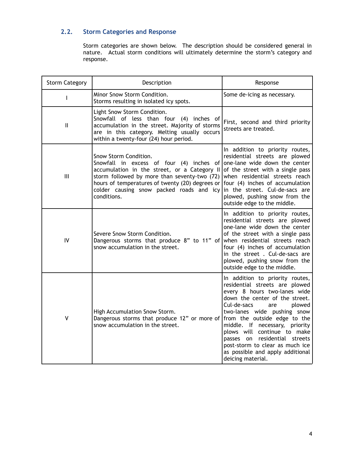## <span id="page-4-0"></span>**2.2. Storm Categories and Response**

Storm categories are shown below. The description should be considered general in nature. Actual storm conditions will ultimately determine the storm's category and response.

| <b>Storm Category</b> | Description                                                                                                                                                                                                                                                                                                   | Response                                                                                                                                                                                                                                                                                                                                                                                                                         |  |
|-----------------------|---------------------------------------------------------------------------------------------------------------------------------------------------------------------------------------------------------------------------------------------------------------------------------------------------------------|----------------------------------------------------------------------------------------------------------------------------------------------------------------------------------------------------------------------------------------------------------------------------------------------------------------------------------------------------------------------------------------------------------------------------------|--|
| L                     | Minor Snow Storm Condition.<br>Storms resulting in isolated icy spots.                                                                                                                                                                                                                                        | Some de-icing as necessary.                                                                                                                                                                                                                                                                                                                                                                                                      |  |
| $\mathbf{  }$         | Light Snow Storm Condition.<br>Snowfall of less than four (4) inches of<br>accumulation in the street. Majority of storms<br>are in this category. Melting usually occurs<br>within a twenty-four (24) hour period.                                                                                           | First, second and third priority<br>streets are treated.                                                                                                                                                                                                                                                                                                                                                                         |  |
| III                   | Snow Storm Condition.<br>Snowfall in excess of four (4) inches of one-lane wide down the center<br>accumulation in the street, or a Category II<br>storm followed by more than seventy-two (72)<br>hours of temperatures of twenty (20) degrees or<br>colder causing snow packed roads and icy<br>conditions. | In addition to priority routes,<br>residential streets are plowed<br>of the street with a single pass<br>when residential streets reach<br>four (4) inches of accumulation<br>in the street. Cul-de-sacs are<br>plowed, pushing snow from the<br>outside edge to the middle.                                                                                                                                                     |  |
| IV                    | Severe Snow Storm Condition.<br>Dangerous storms that produce 8" to 11" of when residential streets reach<br>snow accumulation in the street.                                                                                                                                                                 | In addition to priority routes,<br>residential streets are plowed<br>one-lane wide down the center<br>of the street with a single pass<br>four (4) inches of accumulation<br>in the street. Cul-de-sacs are<br>plowed, pushing snow from the<br>outside edge to the middle.                                                                                                                                                      |  |
| $\mathsf{V}$          | High Accumulation Snow Storm.<br>Dangerous storms that produce 12" or more of<br>snow accumulation in the street.                                                                                                                                                                                             | In addition to priority routes,<br>residential streets are plowed<br>every 8 hours two-lanes wide<br>down the center of the street.<br>Cul-de-sacs<br>plowed<br>are<br>two-lanes wide pushing snow<br>from the outside edge to the<br>middle. If necessary, priority<br>plows will continue to make<br>passes on residential streets<br>post-storm to clear as much ice<br>as possible and apply additional<br>deicing material. |  |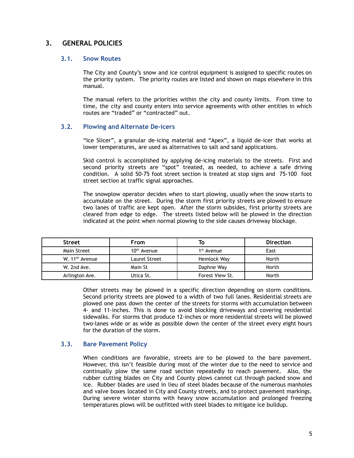### <span id="page-5-1"></span><span id="page-5-0"></span>**3. GENERAL POLICIES**

#### **3.1. Snow Routes**

The City and County's snow and ice control equipment is assigned to specific routes on the priority system. The priority routes are listed and shown on maps elsewhere in this manual.

The manual refers to the priorities within the city and county limits. From time to time, the city and county enters into service agreements with other entities in which routes are "traded" or "contracted" out.

#### <span id="page-5-2"></span>**3.2. Plowing and Alternate De-icers**

"Ice Slicer", a granular de-icing material and "Apex", a liquid de-icer that works at lower temperatures, are used as alternatives to salt and sand applications.

Skid control is accomplished by applying de-icing materials to the streets. First and second priority streets are "spot" treated, as needed, to achieve a safe driving condition. A solid 50-75 foot street section is treated at stop signs and 75-100 foot street section at traffic signal approaches.

The snowplow operator decides when to start plowing, usually when the snow starts to accumulate on the street. During the storm first priority streets are plowed to ensure two lanes of traffic are kept open. After the storm subsides, first priority streets are cleared from edge to edge. The streets listed below will be plowed in the direction indicated at the point when normal plowing to the side causes driveway blockage.

| <b>Street</b>              | From          |                        | <b>Direction</b> |
|----------------------------|---------------|------------------------|------------------|
| Main Street                | $10th$ Avenue | 1 <sup>st</sup> Avenue | East             |
| W. 11 <sup>th</sup> Avenue | Laurel Street | Hemlock Way            | North            |
| W. 2nd Ave.                | Main St       | Daphne Way             | North            |
| Arlington Ave.             | Utica St.     | Forest View St.        | North            |

Other streets may be plowed in a specific direction depending on storm conditions. Second priority streets are plowed to a width of two full lanes. Residential streets are plowed one pass down the center of the streets for storms with accumulation between 4- and 11-inches. This is done to avoid blocking driveways and covering residential sidewalks. For storms that produce 12-inches or more residential streets will be plowed two-lanes wide or as wide as possible down the center of the street every eight hours for the duration of the storm.

#### <span id="page-5-3"></span>**3.3. Bare Pavement Policy**

When conditions are favorable, streets are to be plowed to the bare pavement. However, this isn't feasible during most of the winter due to the need to service and continually plow the same road section repeatedly to reach pavement. Also, the rubber cutting blades on City and County plows cannot cut through packed snow and ice. Rubber blades are used in lieu of steel blades because of the numerous manholes and valve boxes located in City and County streets, and to protect pavement markings. During severe winter storms with heavy snow accumulation and prolonged freezing temperatures plows will be outfitted with steel blades to mitigate ice buildup.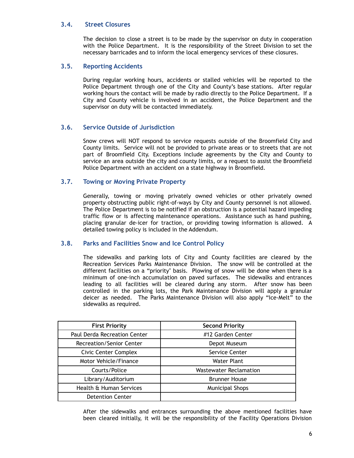#### <span id="page-6-0"></span>**3.4. Street Closures**

The decision to close a street is to be made by the supervisor on duty in cooperation with the Police Department. It is the responsibility of the Street Division to set the necessary barricades and to inform the local emergency services of these closures.

#### <span id="page-6-1"></span>**3.5. Reporting Accidents**

During regular working hours, accidents or stalled vehicles will be reported to the Police Department through one of the City and County's base stations. After regular working hours the contact will be made by radio directly to the Police Department. If a City and County vehicle is involved in an accident, the Police Department and the supervisor on duty will be contacted immediately.

#### <span id="page-6-2"></span>**3.6. Service Outside of Jurisdiction**

Snow crews will NOT respond to service requests outside of the Broomfield City and County limits. Service will not be provided to private areas or to streets that are not part of Broomfield City. Exceptions include agreements by the City and County to service an area outside the city and county limits, or a request to assist the Broomfield Police Department with an accident on a state highway in Broomfield.

#### <span id="page-6-3"></span>**3.7. Towing or Moving Private Property**

Generally, towing or moving privately owned vehicles or other privately owned property obstructing public right-of-ways by City and County personnel is not allowed. The Police Department is to be notified if an obstruction is a potential hazard impeding traffic flow or is affecting maintenance operations. Assistance such as hand pushing, placing granular de-icer for traction, or providing towing information is allowed. A detailed towing policy is included in the Addendum.

#### <span id="page-6-4"></span>**3.8. Parks and Facilities Snow and Ice Control Policy**

The sidewalks and parking lots of City and County facilities are cleared by the Recreation Services Parks Maintenance Division. The snow will be controlled at the different facilities on a "priority'' basis. Plowing of snow will be done when there is a minimum of one-inch accumulation on paved surfaces. The sidewalks and entrances leading to all facilities will be cleared during any storm. After snow has been controlled in the parking lots, the Park Maintenance Division will apply a granular deicer as needed. The Parks Maintenance Division will also apply "Ice-Melt" to the sidewalks as required.

| <b>First Priority</b>        | <b>Second Priority</b>        |
|------------------------------|-------------------------------|
| Paul Derda Recreation Center | #12 Garden Center             |
| Recreation/Senior Center     | Depot Museum                  |
| <b>Civic Center Complex</b>  | Service Center                |
| Motor Vehicle/Finance        | Water Plant                   |
| Courts/Police                | <b>Wastewater Reclamation</b> |
| Library/Auditorium           | <b>Brunner House</b>          |
| Health & Human Services      | <b>Municipal Shops</b>        |
| <b>Detention Center</b>      |                               |

After the sidewalks and entrances surrounding the above mentioned facilities have been cleared initially, it will be the responsibility of the Facility Operations Division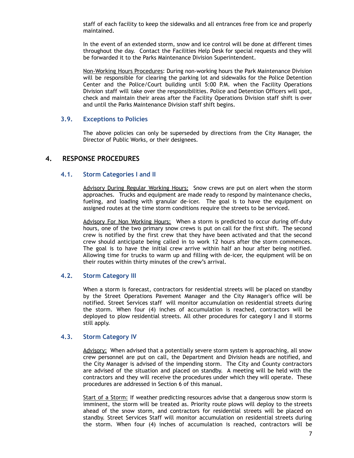staff of each facility to keep the sidewalks and all entrances free from ice and properly maintained.

In the event of an extended storm, snow and ice control will be done at different times throughout the day. Contact the Facilities Help Desk for special requests and they will be forwarded it to the Parks Maintenance Division Superintendent.

Non-Working Hours Procedures: During non-working hours the Park Maintenance Division will be responsible for clearing the parking lot and sidewalks for the Police Detention Center and the Police/Court building until 5:00 P.M. when the Facility Operations Division staff will take over the responsibilities. Police and Detention Officers will spot, check and maintain their areas after the Facility Operations Division staff shift is over and until the Parks Maintenance Division staff shift begins.

#### <span id="page-7-0"></span>**3.9. Exceptions to Policies**

The above policies can only be superseded by directions from the City Manager, the Director of Public Works, or their designees.

#### <span id="page-7-2"></span><span id="page-7-1"></span>**4. RESPONSE PROCEDURES**

#### **4.1. Storm Categories I and II**

Advisory During Regular Working Hours: Snow crews are put on alert when the storm approaches. Trucks and equipment are made ready to respond by maintenance checks, fueling, and loading with granular de-icer. The goal is to have the equipment on assigned routes at the time storm conditions require the streets to be serviced.

Advisory For Non Working Hours: When a storm is predicted to occur during off-duty hours, one of the two primary snow crews is put on call for the first shift. The second crew is notified by the first crew that they have been activated and that the second crew should anticipate being called in to work 12 hours after the storm commences. The goal is to have the initial crew arrive within half an hour after being notified. Allowing time for trucks to warm up and filling with de-icer, the equipment will be on their routes within thirty minutes of the crew's arrival.

#### <span id="page-7-3"></span>**4.2. Storm Category III**

When a storm is forecast, contractors for residential streets will be placed on standby by the Street Operations Pavement Manager and the City Manager's office will be notified. Street Services staff will monitor accumulation on residential streets during the storm. When four (4) inches of accumulation is reached, contractors will be deployed to plow residential streets. All other procedures for category I and II storms still apply.

#### <span id="page-7-4"></span>**4.3. Storm Category IV**

Advisory: When advised that a potentially severe storm system is approaching, all snow crew personnel are put on call, the Department and Division heads are notified, and the City Manager is advised of the impending storm. The City and County contractors are advised of the situation and placed on standby. A meeting will be held with the contractors and they will receive the procedures under which they will operate. These procedures are addressed in Section 6 of this manual.

Start of a Storm: If weather predicting resources advise that a dangerous snow storm is imminent, the storm will be treated as. Priority route plows will deploy to the streets ahead of the snow storm, and contractors for residential streets will be placed on standby. Street Services Staff will monitor accumulation on residential streets during the storm. When four (4) inches of accumulation is reached, contractors will be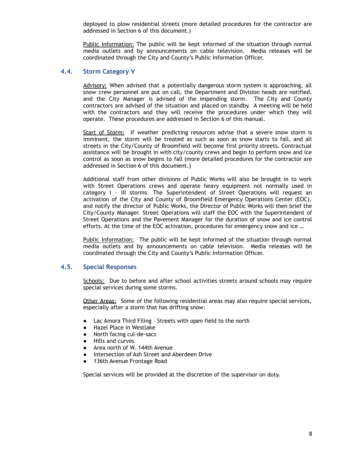deployed to plow residential streets (more detailed procedures for the contractor are addressed in Section 6 of this document.)

Public Information: The public will be kept informed of the situation through normal media outlets and by announcements on cable television. Media releases will be coordinated through the City and County's Public Information Officer.

#### <span id="page-8-0"></span>**4.4. Storm Category V**

Advisory: When advised that a potentially dangerous storm system is approaching, all snow crew personnel are put on call, the Department and Division heads are notified, and the City Manager is advised of the impending storm. The City and County contractors are advised of the situation and placed on standby. A meeting will be held with the contractors and they will receive the procedures under which they will operate. These procedures are addressed in Section 6 of this manual.

Start of Storm: If weather predicting resources advise that a severe snow storm is imminent, the storm will be treated as such as soon as snow starts to fall, and all streets in the City/County of Broomfield will become first priority streets. Contractual assistance will be brought in with city/county crews and begin to perform snow and ice control as soon as snow begins to fall (more detailed procedures for the contractor are addressed in Section 6 of this document.)

Additional staff from other divisions of Public Works will also be brought in to work with Street Operations crews and operate heavy equipment not normally used in category I – III storms. The Superintendent of Street Operations will request an activation of the City and County of Broomfield Emergency Operations Center (EOC), and notify the director of Public Works, the Director of Public Works will then brief the City/County Manager. Street Operations will staff the EOC with the Superintendent of Street Operations and the Pavement Manager for the duration of snow and ice control efforts. At the time of the EOC activation, procedures for emergency snow and ice …

Public Information: The public will be kept informed of the situation through normal media outlets and by announcements on cable television. Media releases will be coordinated through the City and County's Public Information Officer.

#### <span id="page-8-1"></span>**4.5. Special Responses**

Schools: Due to before and after school activities streets around schools may require special services during some storms.

Other Areas: Some of the following residential areas may also require special services, especially after a storm that has drifting snow:

- Lac Amora Third Filing Streets with open field to the north
- Hazel Place in Westlake
- North facing cul-de-sacs
- Hills and curves
- Area north of W. 144th Avenue
- Intersection of Ash Street and Aberdeen Drive
- 136th Avenue Frontage Road

Special services will be provided at the discretion of the supervisor on duty.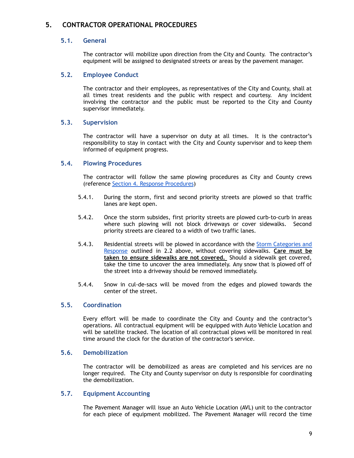## <span id="page-9-1"></span><span id="page-9-0"></span>**5. CONTRACTOR OPERATIONAL PROCEDURES**

#### **5.1. General**

The contractor will mobilize upon direction from the City and County. The contractor's equipment will be assigned to designated streets or areas by the pavement manager.

#### <span id="page-9-2"></span>**5.2. Employee Conduct**

The contractor and their employees, as representatives of the City and County, shall at all times treat residents and the public with respect and courtesy. Any incident involving the contractor and the public must be reported to the City and County supervisor immediately.

#### <span id="page-9-3"></span>**5.3. Supervision**

The contractor will have a supervisor on duty at all times. It is the contractor's responsibility to stay in contact with the City and County supervisor and to keep them informed of equipment progress.

#### <span id="page-9-4"></span>**5.4. Plowing Procedures**

The contractor will follow the same plowing procedures as City and County crews (reference Section 4. Response [Procedures](#page-7-1))

- 5.4.1. During the storm, first and second priority streets are plowed so that traffic lanes are kept open.
- 5.4.2. Once the storm subsides, first priority streets are plowed curb-to-curb in areas where such plowing will not block driveways or cover sidewalks. Second priority streets are cleared to a width of two traffic lanes.
- 5.4.3. Residential streets will be plowed in accordance with the Storm [Categories](#page-4-0) and [Response](#page-4-0) outlined in 2.2 above, without covering sidewalks. **Care must be taken to ensure sidewalks are not covered.** Should a sidewalk get covered, take the time to uncover the area immediately. Any snow that is plowed off of the street into a driveway should be removed immediately.
- 5.4.4. Snow in cul-de-sacs will be moved from the edges and plowed towards the center of the street.

#### <span id="page-9-5"></span>**5.5. Coordination**

Every effort will be made to coordinate the City and County and the contractor's operations. All contractual equipment will be equipped with Auto Vehicle Location and will be satellite tracked. The location of all contractual plows will be monitored in real time around the clock for the duration of the contractor's service.

#### <span id="page-9-6"></span>**5.6. Demobilization**

The contractor will be demobilized as areas are completed and his services are no longer required. The City and County supervisor on duty is responsible for coordinating the demobilization.

#### <span id="page-9-7"></span>**5.7. Equipment Accounting**

The Pavement Manager will issue an Auto Vehicle Location (AVL) unit to the contractor for each piece of equipment mobilized. The Pavement Manager will record the time